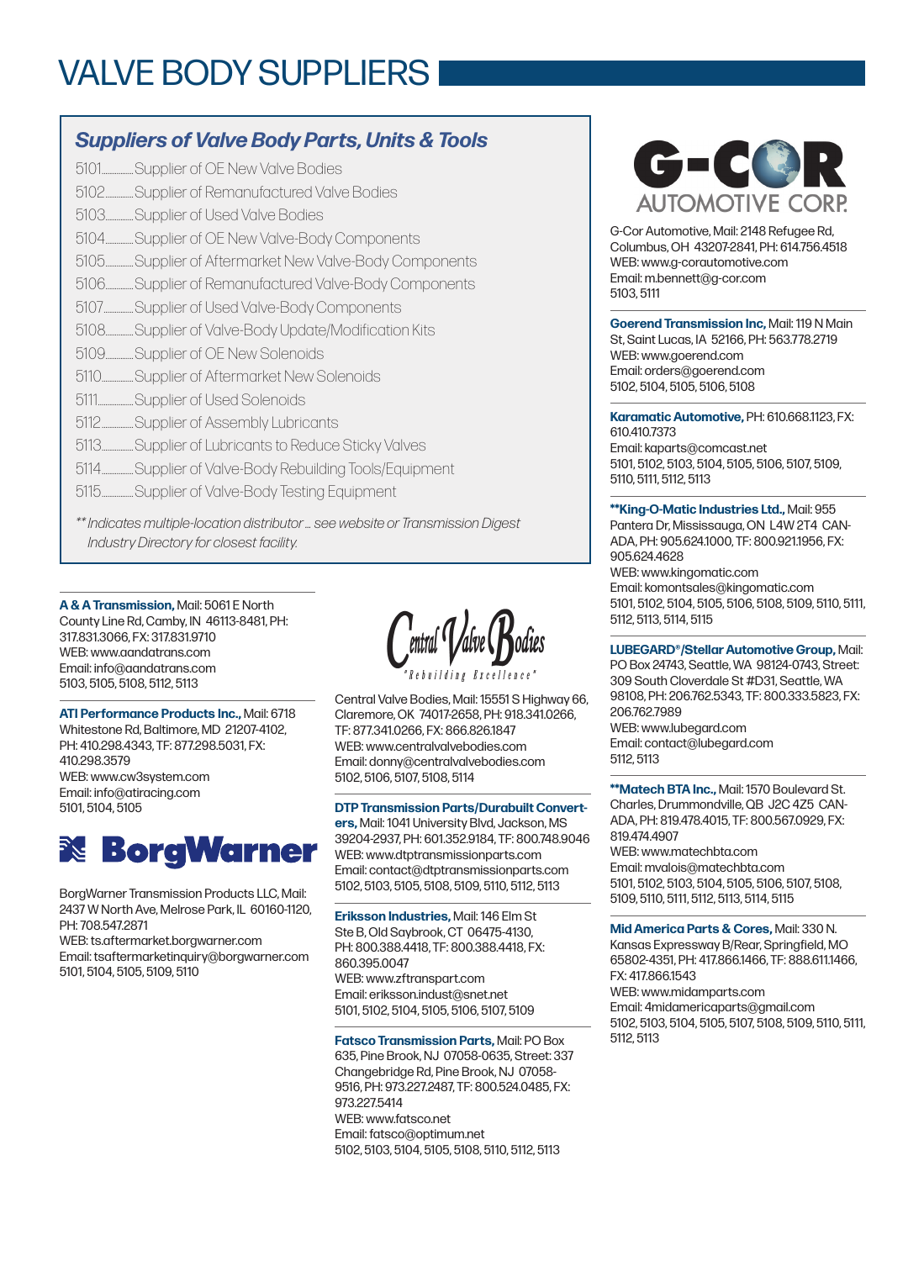## VALVE BODY SUPPLIERS

### *Suppliers of Valve Body Parts, Units & Tools*

5101.................Supplier of OE New Valve Bodies

- 5102...............Supplier of Remanufactured Valve Bodies
- 5103...............Supplier of Used Valve Bodies
- 5104...............Supplier of OE New Valve-Body Components
- 5105...............Supplier of Aftermarket New Valve-Body Components
- 5106...............Supplier of Remanufactured Valve-Body Components
- 5107................Supplier of Used Valve-Body Components
- 5108...............Supplier of Valve-Body Update/Modification Kits
- 5109...............Supplier of OE New Solenoids
- 5110.................Supplier of Aftermarket New Solenoids
- 5111...................Supplier of Used Solenoids
- 5112.................Supplier of Assembly Lubricants
- 5113.................Supplier of Lubricants to Reduce Sticky Valves
- 5114.................Supplier of Valve-Body Rebuilding Tools/Equipment
- 5115.................Supplier of Valve-Body Testing Equipment

*\*\* Indicates multiple-location distributor … see website or Transmission Digest Industry Directory for closest facility.*

**A & A Transmission,** Mail: 5061 E North County Line Rd, Camby, IN 46113-8481, PH: 317.831.3066, FX: 317.831.9710 WEB: www.aandatrans.com Email: info@aandatrans.com 5103, 5105, 5108, 5112, 5113

**ATI Performance Products Inc.,** Mail: 6718 Whitestone Rd, Baltimore, MD 21207-4102, PH: 410.298.4343, TF: 877.298.5031, FX: 410.298.3579 WEB: www.cw3system.com Email: info@atiracing.com 5101, 5104, 5105



BorgWarner Transmission Products LLC, Mail: 2437 W North Ave, Melrose Park, IL 60160-1120, PH: 708.547.2871

WEB: ts.aftermarket.borgwarner.com Email: tsaftermarketinquiry@borgwarner.com 5101, 5104, 5105, 5109, 5110

Central Valve Bodies, Mail: 15551 S Highway 66, Claremore, OK 74017-2658, PH: 918.341.0266, TF: 877.341.0266, FX: 866.826.1847 WEB: www.centralvalvebodies.com Email: donny@centralvalvebodies.com 5102, 5106, 5107, 5108, 5114

**DTP Transmission Parts/Durabuilt Converters,** Mail: 1041 University Blvd, Jackson, MS 39204-2937, PH: 601.352.9184, TF: 800.748.9046 WEB: www.dtptransmissionparts.com Email: contact@dtptransmissionparts.com 5102, 5103, 5105, 5108, 5109, 5110, 5112, 5113

**Eriksson Industries,** Mail: 146 Elm St Ste B, Old Saybrook, CT 06475-4130, PH: 800.388.4418, TF: 800.388.4418, FX: 860.395.0047 WEB: www.zftranspart.com Email: eriksson.indust@snet.net 5101, 5102, 5104, 5105, 5106, 5107, 5109

**Fatsco Transmission Parts,** Mail: PO Box 635, Pine Brook, NJ 07058-0635, Street: 337 Changebridge Rd, Pine Brook, NJ 07058- 9516, PH: 973.227.2487, TF: 800.524.0485, FX: 973.227.5414 WEB: www.fatsco.net Email: fatsco@optimum.net 5102, 5103, 5104, 5105, 5108, 5110, 5112, 5113



G-Cor Automotive, Mail: 2148 Refugee Rd, Columbus, OH 43207-2841, PH: 614.756.4518 WEB: www.g-corautomotive.com Email: m.bennett@g-cor.com 5103, 5111

**Goerend Transmission Inc,** Mail: 119 N Main St, Saint Lucas, IA 52166, PH: 563.778.2719 WEB: www.goerend.com Email: orders@goerend.com 5102, 5104, 5105, 5106, 5108

**Karamatic Automotive,** PH: 610.668.1123, FX: 610.410.7373 Email: kaparts@comcast.net 5101, 5102, 5103, 5104, 5105, 5106, 5107, 5109, 5110, 5111, 5112, 5113

**\*\*King-O-Matic Industries Ltd.,** Mail: 955 Pantera Dr, Mississauga, ON L4W 2T4 CAN-ADA, PH: 905.624.1000, TF: 800.921.1956, FX: 905.624.4628 WEB: www.kingomatic.com Email: komontsales@kingomatic.com 5101, 5102, 5104, 5105, 5106, 5108, 5109, 5110, 5111, 5112, 5113, 5114, 5115

**LUBEGARD®/Stellar Automotive Group,** Mail: PO Box 24743, Seattle, WA 98124-0743, Street: 309 South Cloverdale St #D31, Seattle, WA 98108, PH: 206.762.5343, TF: 800.333.5823, FX: 206.762.7989 WEB: www.lubegard.com Email: contact@lubegard.com 5112, 5113

**\*\*Matech BTA Inc.,** Mail: 1570 Boulevard St. Charles, Drummondville, QB J2C 4Z5 CAN-ADA, PH: 819.478.4015, TF: 800.567.0929, FX: 819.474.4907

WEB: www.matechbta.com Email: mvalois@matechbta.com 5101, 5102, 5103, 5104, 5105, 5106, 5107, 5108, 5109, 5110, 5111, 5112, 5113, 5114, 5115

**Mid America Parts & Cores,** Mail: 330 N. Kansas Expressway B/Rear, Springfield, MO 65802-4351, PH: 417.866.1466, TF: 888.611.1466, FX: 417.866.1543 WEB: www.midamparts.com Email: 4midamericaparts@gmail.com 5102, 5103, 5104, 5105, 5107, 5108, 5109, 5110, 5111, 5112, 5113